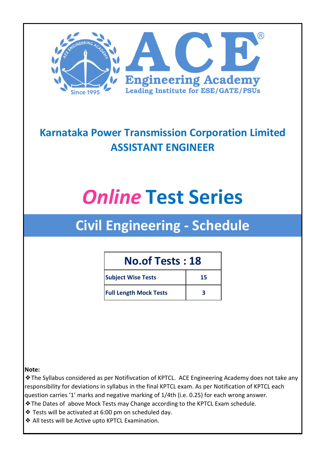

### **Karnataka Power Transmission Corporation Limited ASSISTANT ENGINEER**

# *Online* **Test Series**

## **Civil Engineering - Schedule**

#### **No.of Tests : 18**

| <b>Subject Wise Tests</b>     | 15 |
|-------------------------------|----|
| <b>Full Length Mock Tests</b> |    |

#### **Note:**

❖The Syllabus considered as per Notifivcation of KPTCL. ACE Engineering Academy does not take any responsibility for deviations in syllabus in the final KPTCL exam. As per Notification of KPTCL each question carries '1' marks and negative marking of 1/4th (i.e. 0.25) for each wrong answer.

- ❖The Dates of above Mock Tests may Change according to the KPTCL Exam schedule.
- ❖ Tests will be activated at 6:00 pm on scheduled day.
- ❖ All tests will be Active upto KPTCL Examination.